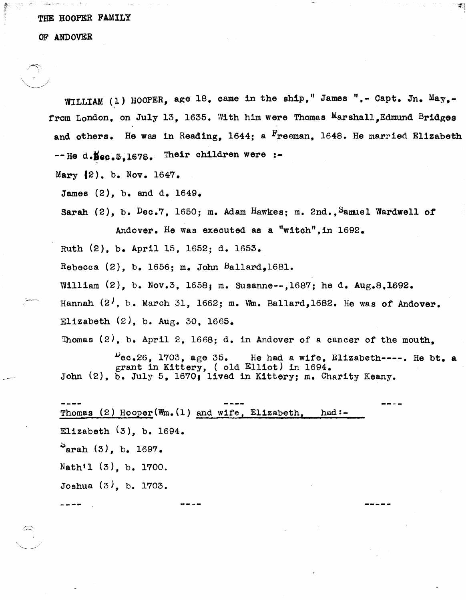## THE HOOPER FAMILY

## OF ANDOVER

 $\sim$   $\sim$ 

WILLIAM (1) HOOPER, age 18, came in the ship," James ",- Capt. Jn. May.from London, on July 13, 1635. With him were Thomas Marshall. Edmund Bridges and others. He was in Reading,  $1644$ : a  $\frac{F}{12}$  reeman. 1648. He married Elizabeth  $-$ -He d. Sec. 5.1678. Their children were :-Mary  $(2)$ , b. Nov. 1647.

James (2), b. and d. 1649.

Sarah (2), b. Dec.7, 1650; m. Adam Hawkes; m. 2nd., Samuel Wardwell of Andover. He was executed as a "witch", in 1692.

Ruth (2), b. April 15, 1652; d. 1653.

Rebecca  $(2)$ , b. 1656; m. John Ballard.1681.

William  $(2)$ , b. Nov.3, 1658; m. Susanne--,1687; he d. Aug.8,1692.

Hannah  $(2^j, b.$  March 31, 1662; m. Wm. Ballard,1682. He was of Andover.

Elizabeth  $(2)$ , b. Aug. 30, 1665.

Thomas  $(2)$ , b. April 2, 1668; d. in Andover of a cancer of the mouth.

 $\mu_{\text{e}}$ .26, 1703, age 35. He had a wife, Elizabeth----. He bt. a grant in Kittery, ( old Elliot) in 1694. John (2), b. July 5, 1670, lived in K1ttery; m. Charity Keany.

Thomas (2) Hooper(Wm.(l) and wife, Elizabeth, Elizabeth  $(3)$ , b. 1694.  $^{\circ}$ arah (3), b. 1697. Nath'l (3), b. 1700. Joshua (3), b. 1703. had:-